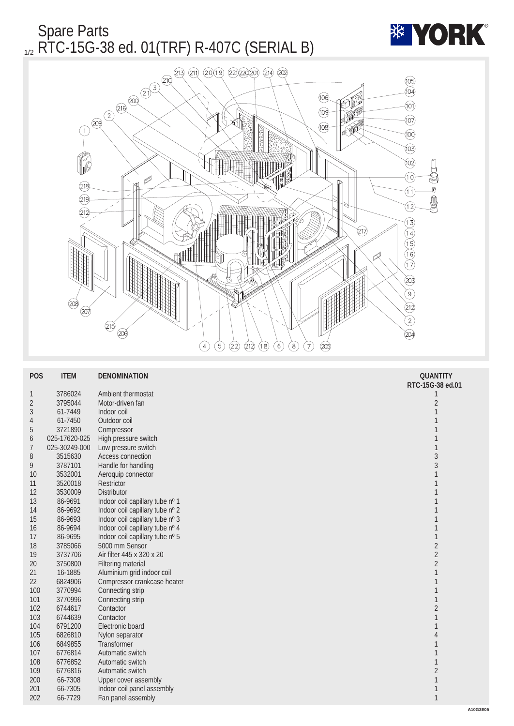

| <b>POS</b>     | <b>ITEM</b>   | <b>DENOMINATION</b>             | <b>QUANTITY</b>  |
|----------------|---------------|---------------------------------|------------------|
|                |               |                                 | RTC-15G-38 ed.01 |
| $\mathbf{1}$   | 3786024       | Ambient thermostat              | 1                |
| $\sqrt{2}$     | 3795044       | Motor-driven fan                | $\boldsymbol{2}$ |
| 3              | 61-7449       | Indoor coil                     | 1                |
| 4              | 61-7450       | Outdoor coil                    |                  |
| $\overline{5}$ | 3721890       | Compressor                      | 1                |
| 6              | 025-17620-025 | High pressure switch            | 1                |
| $\overline{7}$ | 025-30249-000 | Low pressure switch             | 1                |
| 8              | 3515630       | Access connection               | $\sqrt{3}$       |
| 9              | 3787101       | Handle for handling             | 3                |
| 10             | 3532001       | Aeroquip connector              | 1                |
| 11             | 3520018       | <b>Restrictor</b>               |                  |
| 12             | 3530009       | <b>Distributor</b>              |                  |
| 13             | 86-9691       | Indoor coil capillary tube nº 1 |                  |
| 14             | 86-9692       | Indoor coil capillary tube nº 2 |                  |
| 15             | 86-9693       | Indoor coil capillary tube nº 3 |                  |
| 16             | 86-9694       | Indoor coil capillary tube nº 4 |                  |
| 17             | 86-9695       | Indoor coil capillary tube nº 5 | $\mathbf{1}$     |
| 18             | 3785066       | 5000 mm Sensor                  | $\sqrt{2}$       |
| 19             | 3737706       | Air filter 445 x 320 x 20       | $\overline{c}$   |
| 20             | 3750800       | <b>Filtering material</b>       | $\sqrt{2}$       |
| 21             | 16-1885       | Aluminium grid indoor coil      | $\mathbf{1}$     |
| 22             | 6824906       | Compressor crankcase heater     | 1                |
| 100            | 3770994       | Connecting strip                | 1                |
| 101            | 3770996       | Connecting strip                | $\mathbf{1}$     |
| 102            | 6744617       | Contactor                       | $\boldsymbol{2}$ |
| 103            | 6744639       | Contactor                       | $\mathbf{1}$     |
| 104            | 6791200       | Electronic board                | $\mathbf{1}$     |
| 105            | 6826810       | Nylon separator                 | 4                |
| 106            | 6849855       | <b>Transformer</b>              | $\mathbf{1}$     |
| 107            | 6776814       | Automatic switch                | 1                |
| 108            | 6776852       | Automatic switch                | $\mathbf{1}$     |
| 109            | 6776816       | Automatic switch                | $\boldsymbol{2}$ |
| 200            | 66-7308       | <b>Upper cover assembly</b>     | 1                |
| 201            | 66-7305       | Indoor coil panel assembly      | 1                |
| 202            | 66-7729       | Fan panel assembly              | $\mathbf{1}$     |
|                |               |                                 | Α                |